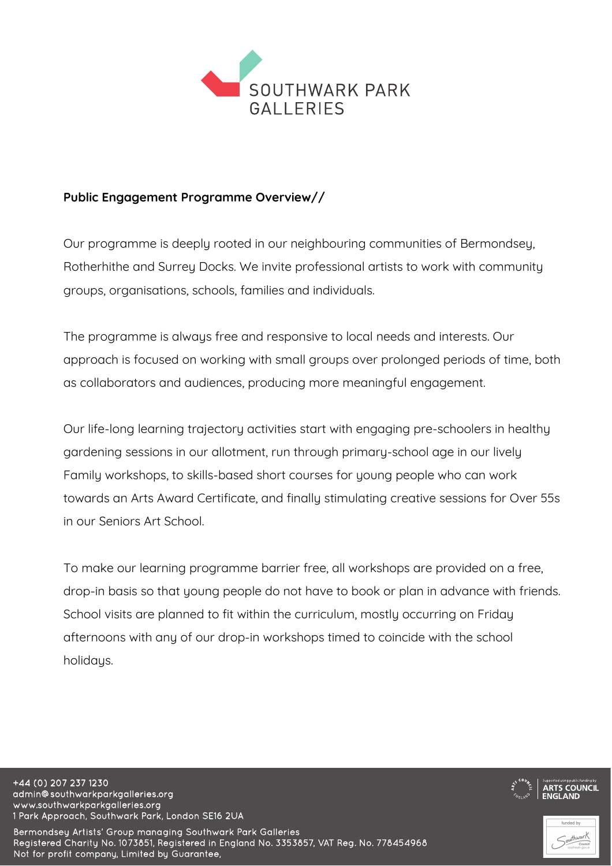

## **Public Engagement Programme Overview//**

Our programme is deeply rooted in our neighbouring communities of Bermondsey, Rotherhithe and Surrey Docks. We invite professional artists to work with community groups, organisations, schools, families and individuals.

The programme is always free and responsive to local needs and interests. Our approach is focused on working with small groups over prolonged periods of time, both as collaborators and audiences, producing more meaningful engagement.

Our life-long learning trajectory activities start with engaging pre-schoolers in healthy gardening sessions in our allotment, run through primary-school age in our lively Family workshops, to skills-based short courses for young people who can work towards an Arts Award Certificate, and finally stimulating creative sessions for Over 55s in our Seniors Art School.

To make our learning programme barrier free, all workshops are provided on a free, drop-in basis so that young people do not have to book or plan in advance with friends. School visits are planned to fit within the curriculum, mostly occurring on Friday afternoons with any of our drop-in workshops timed to coincide with the school holidays.

+44 (0) 207 237 1230 admin@southwarkparkgalleries.org www.southwarkparkgalleries.org 1 Park Approach, Southwark Park, London SE16 2UA

Bermondsey Artists' Group managing Southwark Park Galleries Registered Charity No. 1073851, Registered in England No. 3353857, VAT Reg. No. 778454968 Not for profit company, Limited by Guarantee,

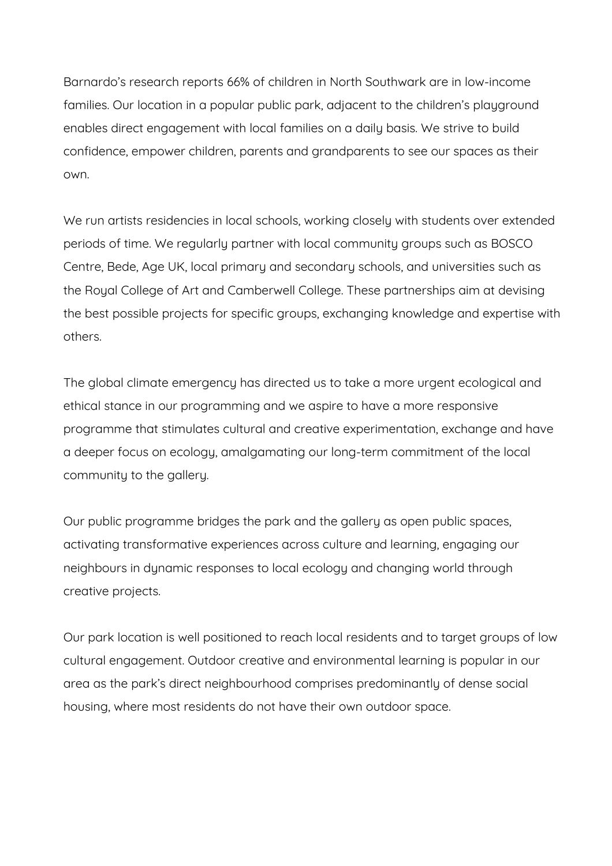Barnardo's research reports 66% of children in North Southwark are in low-income families. Our location in a popular public park, adjacent to the children's playground enables direct engagement with local families on a daily basis. We strive to build confidence, empower children, parents and grandparents to see our spaces as their own.

We run artists residencies in local schools, working closely with students over extended periods of time. We regularly partner with local community groups such as BOSCO Centre, Bede, Age UK, local primary and secondary schools, and universities such as the Royal College of Art and Camberwell College. These partnerships aim at devising the best possible projects for specific groups, exchanging knowledge and expertise with others.

The global climate emergency has directed us to take a more urgent ecological and ethical stance in our programming and we aspire to have a more responsive programme that stimulates cultural and creative experimentation, exchange and have a deeper focus on ecology, amalgamating our long-term commitment of the local community to the gallery.

Our public programme bridges the park and the gallery as open public spaces, activating transformative experiences across culture and learning, engaging our neighbours in dynamic responses to local ecology and changing world through creative projects.

Our park location is well positioned to reach local residents and to target groups of low cultural engagement. Outdoor creative and environmental learning is popular in our area as the park's direct neighbourhood comprises predominantly of dense social housing, where most residents do not have their own outdoor space.